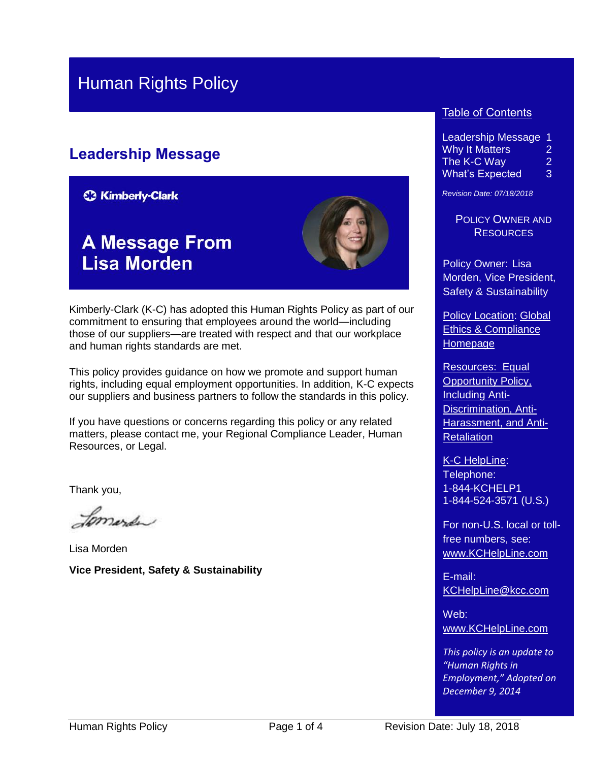### Human Rights Policy

### **Leadership Message**

**C3 Kimberly-Clark** 

## **A Message From Lisa Morden**



Kimberly-Clark (K-C) has adopted this Human Rights Policy as part of our commitment to ensuring that employees around the world—including those of our suppliers—are treated with respect and that our workplace and human rights standards are met.

This policy provides guidance on how we promote and support human rights, including equal employment opportunities. In addition, K-C expects our suppliers and business partners to follow the standards in this policy.

If you have questions or concerns regarding this policy or any related matters, please contact me, your Regional Compliance Leader, Human Resources, or Legal.

Thank you,

Lomerda

Lisa Morden **Vice President, Safety & Sustainability**

#### **Table of Contents**

Leadership Message 1 Why It Matters 2 The K-C Way 2 What's Expected 3

*Revision Date: 07/18/2018*

POLICY OWNER AND **RESOURCES** 

Policy Owner: Lisa Morden, Vice President, Safety & Sustainability

**Policy Location: Global** [Ethics & Compliance](https://kimberlyclark.sharepoint.com/sites/f289/SitePages/Home.aspx)  [Homepage](https://kimberlyclark.sharepoint.com/sites/f289/SitePages/Home.aspx)

Resources: [Equal](https://kimberlyclark.sharepoint.com/sites/f289/RiskProgPolicy/Shared%20Documents/Equal%20Opportunity%20Policy.pdf)  [Opportunity Policy,](https://kimberlyclark.sharepoint.com/sites/f289/RiskProgPolicy/Shared%20Documents/Equal%20Opportunity%20Policy.pdf)  [Including Anti-](https://kimberlyclark.sharepoint.com/sites/f289/RiskProgPolicy/Shared%20Documents/Equal%20Opportunity%20Policy.pdf)[Discrimination, Anti-](https://kimberlyclark.sharepoint.com/sites/f289/RiskProgPolicy/Shared%20Documents/Equal%20Opportunity%20Policy.pdf)[Harassment, and Anti-](https://kimberlyclark.sharepoint.com/sites/f289/RiskProgPolicy/Shared%20Documents/Equal%20Opportunity%20Policy.pdf)**[Retaliation](https://kimberlyclark.sharepoint.com/sites/f289/RiskProgPolicy/Shared%20Documents/Equal%20Opportunity%20Policy.pdf)** 

K-C HelpLine: Telephone: 1-844-KCHELP1 1-844-524-3571 (U.S.)

For non-U.S. local or tollfree numbers, see: [www.KCHelpLine.com](http://www.kchelpline.com/)

E-mail: [KCHelpLine@kcc.com](mailto:KCHelpLine@kcc.com)

Web: [www.KCHelpLine.com](http://www.kchelpline.com/)

*This policy is an update to "Human Rights in Employment," Adopted on December 9, 2014*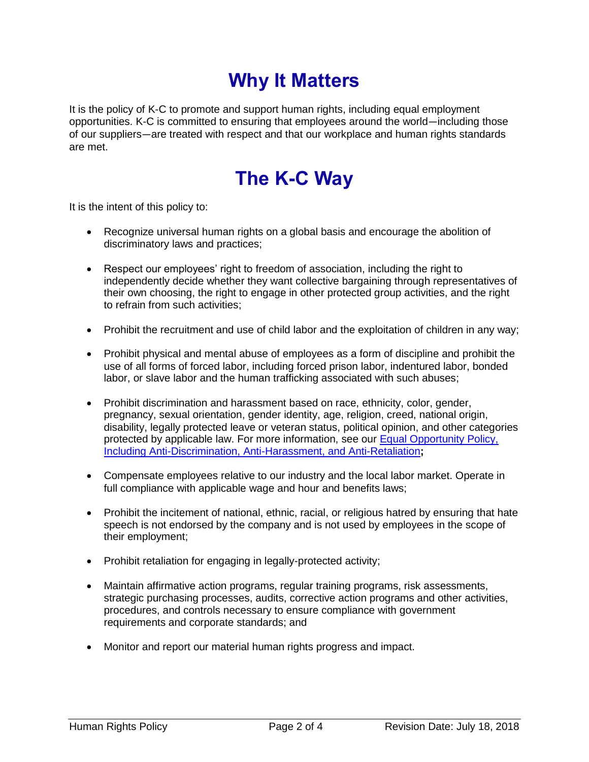# **Why It Matters**

It is the policy of K-C to promote and support human rights, including equal employment opportunities. K-C is committed to ensuring that employees around the world—including those of our suppliers—are treated with respect and that our workplace and human rights standards are met.

## **The K-C Way**

It is the intent of this policy to:

- Recognize universal human rights on a global basis and encourage the abolition of discriminatory laws and practices;
- Respect our employees' right to freedom of association, including the right to independently decide whether they want collective bargaining through representatives of their own choosing, the right to engage in other protected group activities, and the right to refrain from such activities;
- Prohibit the recruitment and use of child labor and the exploitation of children in any way;
- Prohibit physical and mental abuse of employees as a form of discipline and prohibit the use of all forms of forced labor, including forced prison labor, indentured labor, bonded labor, or slave labor and the human trafficking associated with such abuses;
- Prohibit discrimination and harassment based on race, ethnicity, color, gender, pregnancy, sexual orientation, gender identity, age, religion, creed, national origin, disability, legally protected leave or veteran status, political opinion, and other categories protected by applicable law. For more information, see our [Equal Opportunity Policy,](https://kimberlyclark.sharepoint.com/sites/f289/RiskProgPolicy/Shared%20Documents/Equal%20Opportunity%20Policy.pdf)  [Including Anti-Discrimination, Anti-Harassment, and Anti-Retaliation](https://kimberlyclark.sharepoint.com/sites/f289/RiskProgPolicy/Shared%20Documents/Equal%20Opportunity%20Policy.pdf)**;**
- Compensate employees relative to our industry and the local labor market. Operate in full compliance with applicable wage and hour and benefits laws;
- Prohibit the incitement of national, ethnic, racial, or religious hatred by ensuring that hate speech is not endorsed by the company and is not used by employees in the scope of their employment;
- Prohibit retaliation for engaging in legally-protected activity;
- Maintain affirmative action programs, regular training programs, risk assessments, strategic purchasing processes, audits, corrective action programs and other activities, procedures, and controls necessary to ensure compliance with government requirements and corporate standards; and
- Monitor and report our material human rights progress and impact.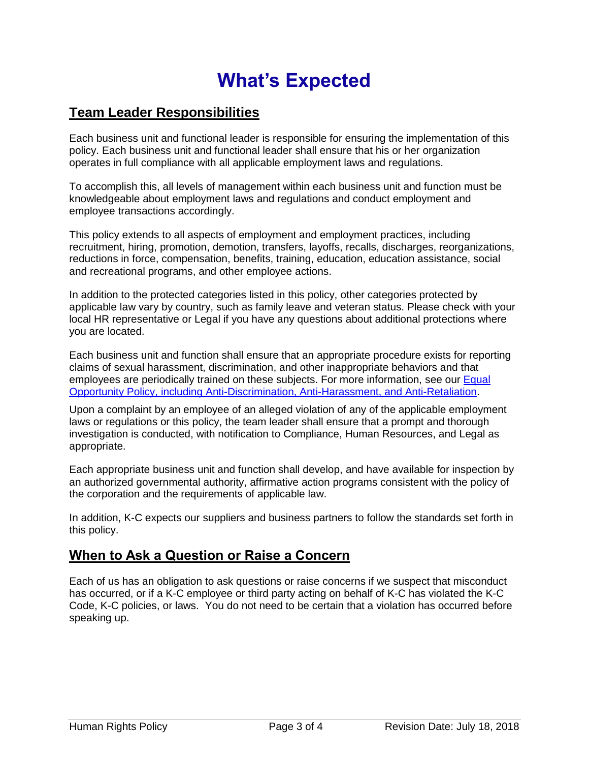# **What's Expected**

### **Team Leader Responsibilities**

Each business unit and functional leader is responsible for ensuring the implementation of this policy. Each business unit and functional leader shall ensure that his or her organization operates in full compliance with all applicable employment laws and regulations.

To accomplish this, all levels of management within each business unit and function must be knowledgeable about employment laws and regulations and conduct employment and employee transactions accordingly.

This policy extends to all aspects of employment and employment practices, including recruitment, hiring, promotion, demotion, transfers, layoffs, recalls, discharges, reorganizations, reductions in force, compensation, benefits, training, education, education assistance, social and recreational programs, and other employee actions.

In addition to the protected categories listed in this policy, other categories protected by applicable law vary by country, such as family leave and veteran status. Please check with your local HR representative or Legal if you have any questions about additional protections where you are located.

Each business unit and function shall ensure that an appropriate procedure exists for reporting claims of sexual harassment, discrimination, and other inappropriate behaviors and that employees are periodically trained on these subjects. For more information, see our [Equal](https://kimberlyclark.sharepoint.com/sites/f289/RiskProgPolicy/Shared%20Documents/Equal%20Opportunity%20Policy.pdf)  [Opportunity Policy, including Anti-Discrimination, Anti-Harassment, and Anti-Retaliation.](https://kimberlyclark.sharepoint.com/sites/f289/RiskProgPolicy/Shared%20Documents/Equal%20Opportunity%20Policy.pdf)

Upon a complaint by an employee of an alleged violation of any of the applicable employment laws or regulations or this policy, the team leader shall ensure that a prompt and thorough investigation is conducted, with notification to Compliance, Human Resources, and Legal as appropriate.

Each appropriate business unit and function shall develop, and have available for inspection by an authorized governmental authority, affirmative action programs consistent with the policy of the corporation and the requirements of applicable law.

In addition, K-C expects our suppliers and business partners to follow the standards set forth in this policy.

### **When to Ask a Question or Raise a Concern**

Each of us has an obligation to ask questions or raise concerns if we suspect that misconduct has occurred, or if a K-C employee or third party acting on behalf of K-C has violated the K-C Code, K-C policies, or laws. You do not need to be certain that a violation has occurred before speaking up.